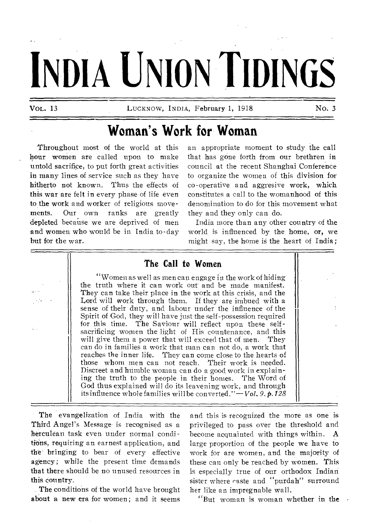# DIA UNION TIDINGS

**VOL. 13** LUCKNOW, INDIA, **February 1, 1918 No. 3** 

## **Woman's Work for Woman**

**Throughout** most of the world at this **hour women** are called upon to make **untold sacrifice, to** put forth great activities **in many lines of service** such as they have **hitherto not known.** Thus the effects of **this war are felt in** every phase of life even **to the work and worker** of religious movements. **Our own ranks** are greatly **depleted because we** are deprived of men **and women who would** be in India to-day **but for the war.** 

an appropriate moment to **study the call**  that has gOne forth from our **brethren in**  council at the recent Shanghai **Conference**  to organize the women of this **division for**  co-operative and aggresive work, **which**  constitutes a call to the womanhood **of this**  denomination to do for this movement what they and they only can do.

India more than any other country of the world is influenced by the home, or, we might say, the home is the heart of India ;

#### **The Call to Women**

**"Women** as well as men can engage in the work of hiding the truth where it can work out and be made manifest. They can take their place in the work at this crisis, and the Lord will work through them. If they are imbued with a sense of their duty, and labour under the influence of the Spirit of God, they will have just the self-possession required for this time. The Saviour will reflect upon these selfsacrificing women the light of His countenance, and this will give them a power that will exceed that of men. They can do in families a work that man can not do, a work that reaches the inner life. They can come close to the hearts of those whom men can not reach. Their work is needed. Discreet and humble woman can do a good work in explaining the truth to the people in their homes. The Word of God thus explained will do its leavening work, and through its influence whole families will be converted."— *Vol.* 9. ¢. *128* 

**The** evangelization of India with the **Third** Angel's Message is recognised as a herculean task even under normal condi tions, requiring an earnest application, and **the' bringing to bear of** every effective **agency;** while the present time demands **that there** should be no unused resources in **this country.** 

**The conditions of the world have brought about a new era for women; and it seems** 

and this is recognized the more as one is privileged to pass over the threshold and become acquainted with things within. A large proportion of the people we have to work for are women, and the majority of these can only be reached by women. This is especially true of our orthodox Indian sister where caste and "purdah" surround her like an impregnable wall,

"But woman is woman whether in **the**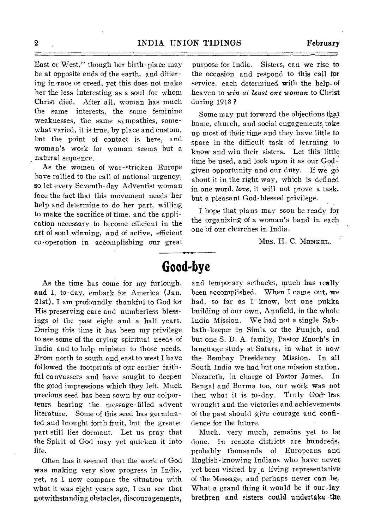East or West," though her birth-place may be at opposite ends of the earth, and differing in-race or creed, yet this does not make her the less interesting as a soul for whom Christ died. After all, woman has much the same interests, the same feminine weaknesses, the same sympathies, somewhat varied, it is true, by place and custom, but the point of contact is here, and woman's work for woman seems but a natural sequence.

As the women of war-stricken Europe have rallied to the call of national urgency, so let every Seventh-day Adventist woman face the fact that this movement needs her help and determine to do her part, willing to make the sacrifice of time, and the application necessary to become efficient in the art of soul winning, and of active, efficient co-operation in accomplishing our great

purpose for India. Sisters, can we rise to the occasion and respond to this call for service, each determined with the help of heaven to *win at least one woman* to Christ during 1918 ?

Some may put forward the objections that home, church, and social engagements take up most of their time and they have little to spare in the difficult task of learning to know and win their sisters. Let this little time be used, and look upon it as our Godgiven opportunity and our duty. If we 'go about it in the right way, which is defined in one word, *love,* it will not prove a task, but a pleasant God-blessed privilege.

I hope that plans may soon be ready for the organizing of a woman's band in each one of our churches in India.

MRS. H. C. MENKEL.

# **Good-bye**

As the time has come for my furlough, and I, to-day, embark for America (Jan. 21st), I am profoundly thankful to God for His preserving care and numberless blessings of the past eight and a half years. During this time it has been my privilege to see some of the crying spiritual needs of India and to help minister to those needs, From north to south and east to west I have followed the footprints of our earlier faithful canvassers and have sought to deepen the good impressions which they left. Much precious seed has been sown by our colporteurs bearing the message-filled advent literature. Some of this seed has germinated and brought forth fruit, but the greater part still lies dormant. Let us pray that the Spirit of God may yet quicken it into life.

Often has it seemed that the work of God was making very slow progress in India, yet, as I now compare the situation with what it was eight years ago, I can see that notwithstanding obstacles, discouragements,

and temporary setbacks, much has really been accomplished. When I came out, we had, so far as I know, but one pukka building of our own, Annfield, in the whole India Mission. We had not a single Sabbath-keeper in Simla or the Punjab, and but one S. D. A. family, Pastor Enoch's in language study at Satara, in what is now the Bombay Presidency Mission. In all South India we had but one mission station, Nazareth, in charge of Pastor James. In Bengal and Burma too, our work was not then what it is to-day. Truly God has wrought and the victories and achievements of the past should give courage and confidence for the future.

Much, very much, remains yet to be done. In remote districts are hundreds, probably thousands of Europeans and English-knowing Indians who have never yet been visited by a living representative of the Message, and perhaps never can be. What a grand thing it would be if our lay brethren and sisters could undertake the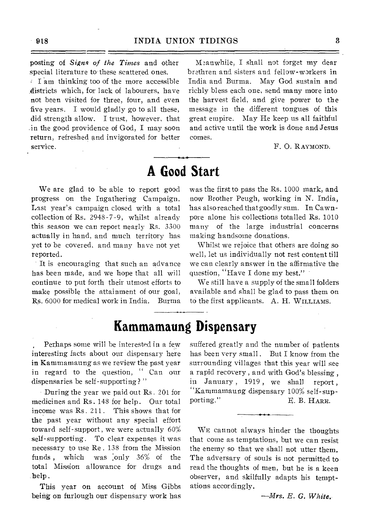posting of *Signs of the Times* and other special literature to these scattered ones.

 $I$  am thinking too of the more accessible districts which, for lack of labourers, have not been visited for three, four, and even five years. I would gladly go to all these, did strength allow. I trust, however, that in the good providence of God, I may soon return, refreshed and invigorated for better service.

Meanwhile, I shall not forget my dear brethren and sisters and fellow-workers in India and Burma. May God sustain and richly bless each one, send many more into the harvest field, and give power to the message in the different tongues of this great empire. May He keep us all faithful and active until the work is done and Jesus comes.

F. 0. RAYMOND.

## **A Good Start**

We are glad to be able to report good progress on the Ingathering Campaign. Last year's campaign closed with a total collection of Rs. 2948-7-9, whilst already this season we can report nearly Rs. 3300 actually in hand, and much territory has yet to be covered, and many have not yet reported.

' It is encouraging that such an advance has been made, and we hope that all will continue to put forth their utmost efforts to make possible the attainment of our goal, Rs. 6000 for medical work in India. Burma was the first to pass the Rs. 1000 mark, and now Brother Peugh, working in N. India, has also reached that goodly sum. In Cawn pore alone his collections totalled Rs. 1010 many of the large industrial concerns making handsome donations.

Whilst we rejoice that others are doing so well, let us individually not rest content till we can clearly answer in the affirmative the question, "Have I done my best." -

We still have a supply of the small folders available and shall be glad to pass them on to the first applicants. A. H. WILLIAMS.

## **Kammamaung Dispensary**

Perhaps some will be interested in a few interesting facts about our dispensary here in Kammamaung as we review the past year in regard to the question, " Can our dispensaries be self-supporting?"

During the year we paid out Rs . 201 for medicines and Rs. 148 for help. Our total income was Rs. 211. This shows that for the past year without any special effort toward self-support, we were actually 60% self-supporting. To clear expenses it was necessary to use Re . 138 from the Mission funds , which was :only 36% of the total Mission allowance for drugs and help,

This year on account of Miss Gibbs being on furlough our dispensary work has

suffered greatly and the number of patients has been very small. But I know from the surrounding villages that this year will see a rapid recovery , and with God's blessing , in January , 1919 , we shall report , "Kammamaung dispensary 100% self-supporting." E. B. HARE.

WE cannot always hinder the thoughts that come as temptations, but we can resist the enemy so that we shall not utter them. The adversary of souls is not permitted to read the thoughts of men, but he is a keen observer, and skilfully adapts his temptations accordingly.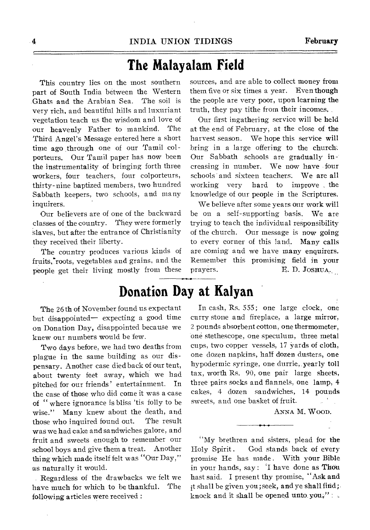### **The Malayalam Field**

This country lies on the most southern part of South India between the Western Ghats and the Arabian Sea. The soil is very rich, and beautiful hills and luxuriant vegetation teach us the wisdom and love of our heavenly Father to mankind. The Third Angel's Message entered here a short time ago through one of our Tamil colporteurs. Our Tamil paper has now been the instrumentality of bringing forth three workers, four teachers, four colporteurs, thirty-nine baptized members, two hundred Sabbath keepers, two schools, and many inquirers.

Our believers are of one of the backward classes of the country. They were formerly slaves, but after the entrance of Christianity they received their liberty.

The country produces various kinds of fruits. roots, vegetables and grains, and the people get their living mostly from these

The 26th of November found us expectant but disappointed— expecting a good time on Donation Day, disappointed because we knew our numbers would be few.

Two days before, we had two deaths from plague in the same building as our dispensary. Another case died back of our tent, about twenty feet away, which we had pitched for our friends' entertainment. In the case of those who did come it was a case of " where ignorance is bliss 'tis folly to be wise." Many knew about the death, and those who inquired found out. The result was we had cake and sandwiches galore, and fruit and sweets enough to remember our school boys and give them a treat. Another thing which made itself felt was "Our Day," as naturally it would.

Regardless of the drawbacks we felt we have much for which to be thankful. The following articles were received :

sources, and are able to collect money from them five or six times a year. Even though the people are very poor, upon learning the truth, they pay tithe from their incomes,

Our first ingathering service will be held at the end of February; at the close of the harvest season. We hope this service will bring in a large offering to the church: Our Sabbath schools are gradually increasing in number. We now have • four schools and sixteen teachers. We are all working very hard to improve the knowledge of our people in the Scriptures.

We believe after some years our work will be on a self-supporting basis. We are trying to teach the individual responsibility of the church. Our message is now going to every corner of this land. Many calls are coming and we have many enquirers. Remember this promising field in your prayers. E. D. JOSHUA.

# **Donation Day at Kalyan**

In cash, Rs. 555; one large clock, one curry stone and fireplace, a large mirror, 2 pounds absorbent cotton, one thermometer, one stethescope, one speculum, three metal cups, two copper vessels, 17 yards of cloth, one dozen napkins, half dozen dusters, one hypodermic syringe, one durrie,. yearly toll tax, worth Rs. 90, one pair large sheets, three pairs socks and flannels, one lamp, 4 cakes, 4 dozen sandwiches, 14 pounds sweets, and one basket of fruit.

ANNA M. WOOD.

"My brethren and sisters, plead for the Holy Spirit. God stands back of every promise He has made . With your Bible in your hands, say : 'I have done as Thou hast said. I present thy promise, "Ask and ; t shall be given you; seek, and ye shall find; knock and it shall be opened unto you,"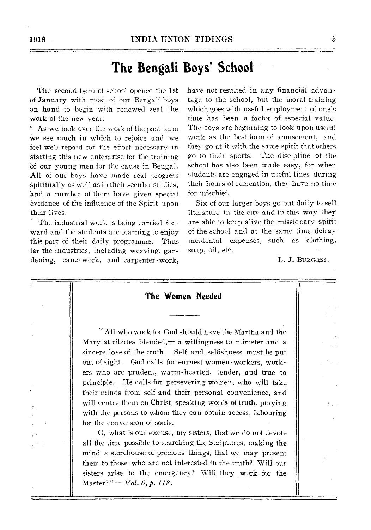## **The Bengali Boys' School**

The second term of school opened the 1st of January with most of our Bengali boys on hand to begin with renewed zeal the work of the new year.

As we look over the work of the past term We see much in which to rejoice and we feel well repaid for the effort necessary in Starting this new enterprise for the training of our young men for the cause in Bengal. All of our boys have made real progress Spiritually as well as in their secular studies, and a number of them have given special evidence of the influence of the Spirit upon their lives.

The industrial work is being carried forward and the students are learning to enjoy this part of their daily programme. Thus far the industries, including weaving, gardening, cane-work, and carpenter-work, have not resulted in any financial advantage to the school, but the moral training which goes with useful employment of one's time has been a factor of especial' valtie. The boys are beginning to look upon useful work as the best form of amusement, and they go at it with the same spirit that others go to their sports. The discipline of -the school has also been made easy, for when students are engaged in useful lines during their hours of recreation, they have no time for mischief.

Six of our larger boys go out daily to sell literature in the city and in this way they are able to keep alive the missionary spirit of the school and at the same time defray incidental expenses, such as clothing, soap, oil, etc.

L. J. BURGESS.

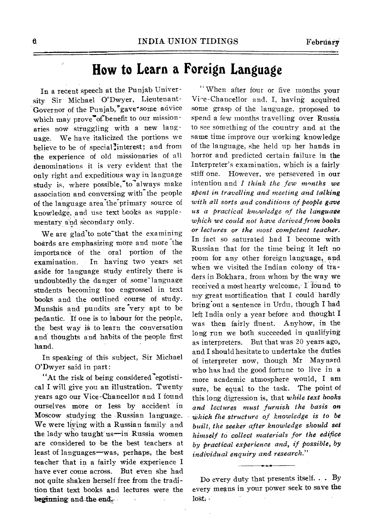# **How to Learn a Foreign Language**

In a recent speech at the Punjab University Sir Michael O'Dwyer, Lieutenant-Governor of the Punjab,"gave\*some advice which may prove "of benefit to our missionaries now struggling with a new language. We have italicized the portions we believe to be of special<sup>3</sup>interest; and from the experience of old missionaries of all denominations it is very evident that the only right and expeditious way in language study is, where possible, to always make association and conversing with the people of the language area the primary source of knowledge, and use text books as supplementary and secondary only.

We are glad<sup>t</sup>o note that the examining boards are emphasizing more and more the importance of the oral portion of the examination. In having two years set aside for language study entirely there is undoubtedly the danger of some<sup>-</sup>language students becoming too engrossed in text books and the outlined course of study. Munshis and pundits are "very apt to be pedantic. If one is to labour for the people, the best way is to learn the conversation and thoughts and habits of the people first hand.

In speaking of this subject, Sir Michael O'Dwyer said in part:

"At the risk of being considered egotistical I will give you an illustration. Twenty years ago our Vice-Chancellor and I found ourselves more or less by accident in Moscow studying the Russian language. We were living with a Russian family and the lady Who taught us—in Russia women are considered to be the best teachers at least of languages—was, perhaps, the best teacher that in a fairly wide experience I have ever come across. But even she had not quite shaken herself free from the tradition that text books and lectures were the beginning and the end.

" When after four or five months your Vi^e-Chancellor and, I, having acquired some grasp of the language, proposed to spend a few months travelling over Russia to see something of the country and at the same time improve our working knowledge of the language, she held up her hands in horror and predicted certain failure in the Interpreter's examination, which is a fairly stiff one. However, we persevered in our intention and *I think the few months we spent in travelling and meeting and talking with all sorts and conditions of people gave us a practical knowledge of the language which we could not have derived from books or lectures or the most competent teacher.*  In fact so saturated had I become with Russian that for the time being it left no room for any other foreign language, and when we visited the Indian colony of traders in Bokhara, from whom by the way we received a most hearty welcome, I found to my great mortification that I could hardly bring out a sentence in Urdu, though I had left India only a year before and thought I was then fairly fluent. Anyhow, in the long run we both succeeded in qualifying as interpreters. But that was 20 years ago, and I should hesitate to undertake the duties of interpreter now, though Mr Maynard who has had the good fortune to live in a more academic atmosphere would, I am sure, be equal to the task. The point of this long digression is, that *while text hooks and lectures must furnish the basis on - Which The structure of knowledge is to be built, the seeker after knowledge should set himself to collect materials for the edifice by practical experience and, if possible, by individual enquiry and research."* 

Do every duty that presents itself.. . By every means in your power seek to save the lost.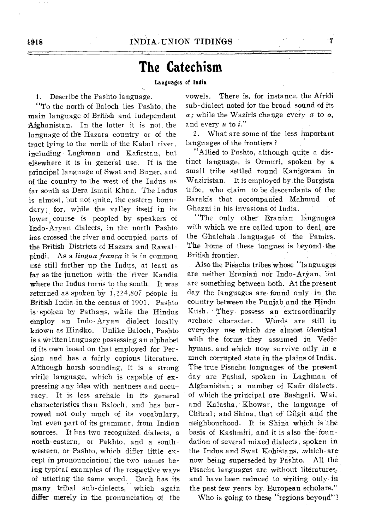## **The Catechism**

#### **Languages of India**

1. Describe the Pashto language.

"To the north of Baloch lies Pashto, the main language of British and independent Afghanistan. In the latter it is not the language of the Hazara country or of the tract lying to the north of the Kabul river, including Laghman and Kafirstan, but elsewhere it is in general use. It is the principal language of Swat and Buner, and of the country to the west of the Indus as far south as Dera Ismail Khan. The Indus is almost, but not quite, the eastern boundary; for, while the valley itself in its lower course is peopled by speakers of Indo-Aryan dialects, in the north Pashto has crossed the river and occupied parts of the British Districts of Hazara and Rawalpindi. As a *lingua franca* it is in common use still farther up the Indus, at least as far as the junction with the fiver Kandia where the Indus turns to the south. It was returned as spoken by  $1,224,807$  people in British India in the census of 1901. Pashto is spoken by Pathans, while the Hindus employ an Indo-Aryan dialect locally known as Hindko. Unlike Baloch, Pashto is a Written language possessing an alphabet of its own based on that employed for Persian and has a fairly copious literature. Although harsh sounding, it is a strong virile language, which is capable of expressing any idea with neatness and accu racy. It is less archaic in its general characteristics than Baloch, and has borrowed not only much of its vocabulary, but even part of its grammar, from Indian sources. It has two recognized dialects, a north-eastern, or Pakhto, and a southwestern, or Pashto, which differ little except in pronounciation; the two names being typical examples of the respective ways of uttering the same word. Each has its many, tribal sub-dialects, which again differ merely in the pronunciation of the vowels. There is, for instance, the Afridi sub-dialect noted for the broad sound of its *a;* while the Waziris change every *a* to *o,*  and every u to *i."* 

2. What are some of the less important languages of the frontiers ?

"Allied to Pashto, although quite a distinct language, is Ormuri, spoken by a small tribe settled round Kanigoram in Waziristan. It is employed by the Bargista tribe, who claim to be descendants of the Barakis that accompanied Mahmud of Ghazni in his invasions of India.

"The only other Eranian languages with which we are called upon to deal are the Ghalchah languages of the Pamirs. The home of these tongues is beyond-the British frontier.

Also the Pisacha tribes whose "languages" are neither Eranian nor Indo-Aryan, but are something between both. At the present day the languages are found only in the country between the Punjab and the Hindu Kush. They possess an extraordinarily archaic character. Words are still in everyday use which are almost identical with the forms they assumed in Vedic hymns, and which now survive only in a much corrupted state in the plains of India. The true Pisacha languages of the present day are Pashai, spoken in Laghman of Afghanistan; a number of Kafir dialects, of which the principal are Bashgali, Wai, and Kalasha, Khowar, the language of Chitral; and Shina, that of Gilgit and the neighbourhood. It is Shina which is the basis of Kashmiri, and it is also the foundation of several mixed dialects, spoken in the Indus and Swat Kohistans, which are now being superseded by Pashto. All the Pisacha languages are without literatures, and have been reduced to writing only in the past few years by European scholars."

Who is going to these "regions beyond"?